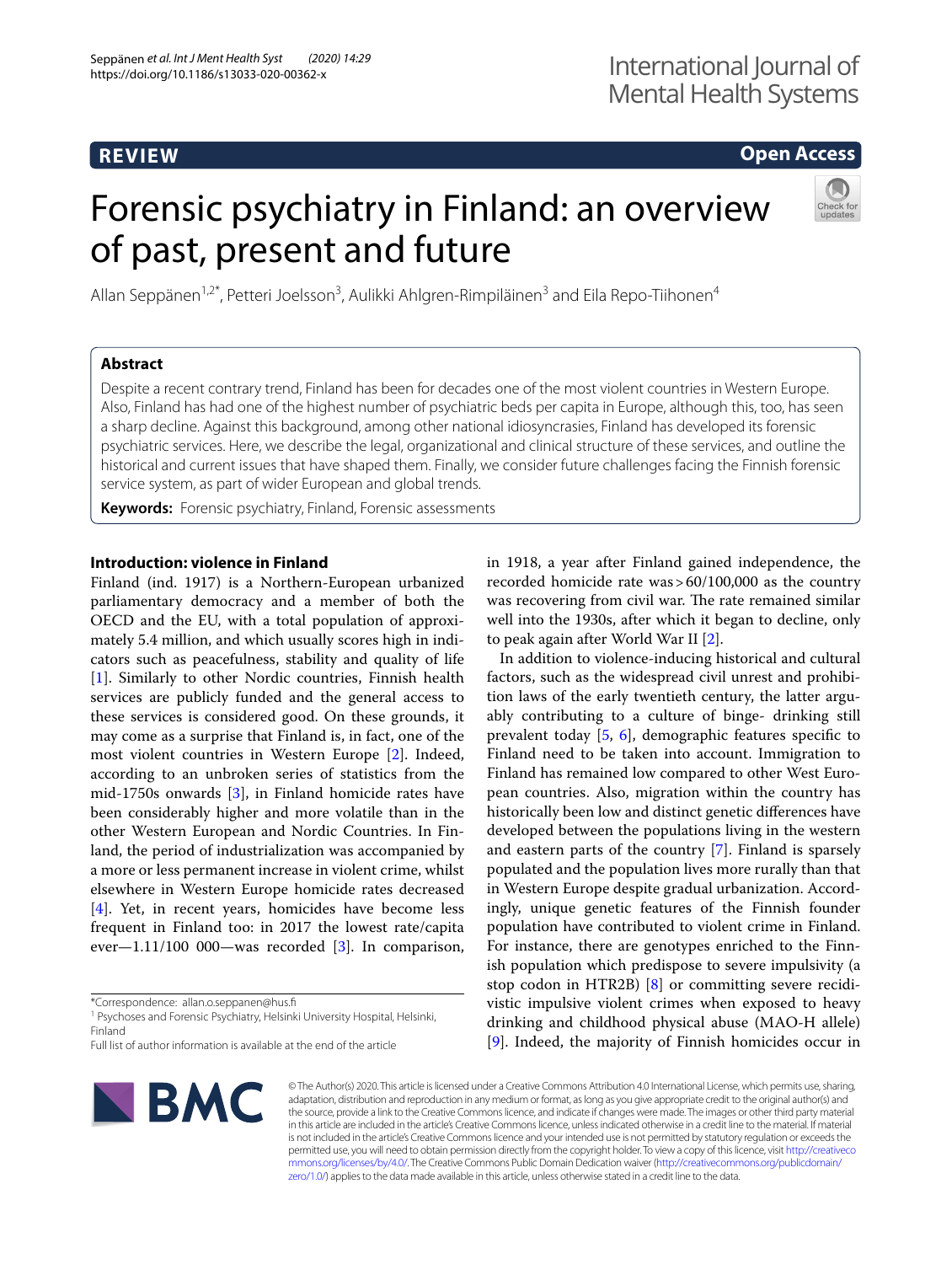# **REVIEW**

# **Open Access**

# Forensic psychiatry in Finland: an overview of past, present and future



Allan Seppänen<sup>1,2\*</sup>, Petteri Joelsson<sup>3</sup>, Aulikki Ahlgren-Rimpiläinen<sup>3</sup> and Eila Repo-Tiihonen<sup>4</sup>

## **Abstract**

Despite a recent contrary trend, Finland has been for decades one of the most violent countries in Western Europe. Also, Finland has had one of the highest number of psychiatric beds per capita in Europe, although this, too, has seen a sharp decline. Against this background, among other national idiosyncrasies, Finland has developed its forensic psychiatric services. Here, we describe the legal, organizational and clinical structure of these services, and outline the historical and current issues that have shaped them. Finally, we consider future challenges facing the Finnish forensic service system, as part of wider European and global trends.

**Keywords:** Forensic psychiatry, Finland, Forensic assessments

## **Introduction: violence in Finland**

Finland (ind. 1917) is a Northern-European urbanized parliamentary democracy and a member of both the OECD and the EU, with a total population of approximately 5.4 million, and which usually scores high in indicators such as peacefulness, stability and quality of life [[1\]](#page-6-0). Similarly to other Nordic countries, Finnish health services are publicly funded and the general access to these services is considered good. On these grounds, it may come as a surprise that Finland is, in fact, one of the most violent countries in Western Europe [\[2\]](#page-6-1). Indeed, according to an unbroken series of statistics from the mid-1750s onwards [\[3](#page-6-2)], in Finland homicide rates have been considerably higher and more volatile than in the other Western European and Nordic Countries. In Finland, the period of industrialization was accompanied by a more or less permanent increase in violent crime, whilst elsewhere in Western Europe homicide rates decreased [[4\]](#page-6-3). Yet, in recent years, homicides have become less frequent in Finland too: in 2017 the lowest rate/capita ever—1.11/100 000—was recorded  $[3]$  $[3]$ . In comparison,

\*Correspondence: allan.o.seppanen@hus.f

<sup>1</sup> Psychoses and Forensic Psychiatry, Helsinki University Hospital, Helsinki, Finland

Full list of author information is available at the end of the article



in 1918, a year after Finland gained independence, the recorded homicide rate was>60/100,000 as the country was recovering from civil war. The rate remained similar well into the 1930s, after which it began to decline, only to peak again after World War II [\[2](#page-6-1)].

In addition to violence-inducing historical and cultural factors, such as the widespread civil unrest and prohibition laws of the early twentieth century, the latter arguably contributing to a culture of binge- drinking still prevalent today  $[5, 6]$  $[5, 6]$  $[5, 6]$  $[5, 6]$ , demographic features specific to Finland need to be taken into account. Immigration to Finland has remained low compared to other West European countries. Also, migration within the country has historically been low and distinct genetic diferences have developed between the populations living in the western and eastern parts of the country [[7\]](#page-6-6). Finland is sparsely populated and the population lives more rurally than that in Western Europe despite gradual urbanization. Accordingly, unique genetic features of the Finnish founder population have contributed to violent crime in Finland. For instance, there are genotypes enriched to the Finnish population which predispose to severe impulsivity (a stop codon in HTR2B) [\[8](#page-6-7)] or committing severe recidivistic impulsive violent crimes when exposed to heavy drinking and childhood physical abuse (MAO-H allele) [[9\]](#page-6-8). Indeed, the majority of Finnish homicides occur in

© The Author(s) 2020. This article is licensed under a Creative Commons Attribution 4.0 International License, which permits use, sharing, adaptation, distribution and reproduction in any medium or format, as long as you give appropriate credit to the original author(s) and the source, provide a link to the Creative Commons licence, and indicate if changes were made. The images or other third party material in this article are included in the article's Creative Commons licence, unless indicated otherwise in a credit line to the material. If material is not included in the article's Creative Commons licence and your intended use is not permitted by statutory regulation or exceeds the permitted use, you will need to obtain permission directly from the copyright holder. To view a copy of this licence, visit [http://creativeco](http://creativecommons.org/licenses/by/4.0/) [mmons.org/licenses/by/4.0/.](http://creativecommons.org/licenses/by/4.0/) The Creative Commons Public Domain Dedication waiver ([http://creativecommons.org/publicdomain/](http://creativecommons.org/publicdomain/zero/1.0/) [zero/1.0/\)](http://creativecommons.org/publicdomain/zero/1.0/) applies to the data made available in this article, unless otherwise stated in a credit line to the data.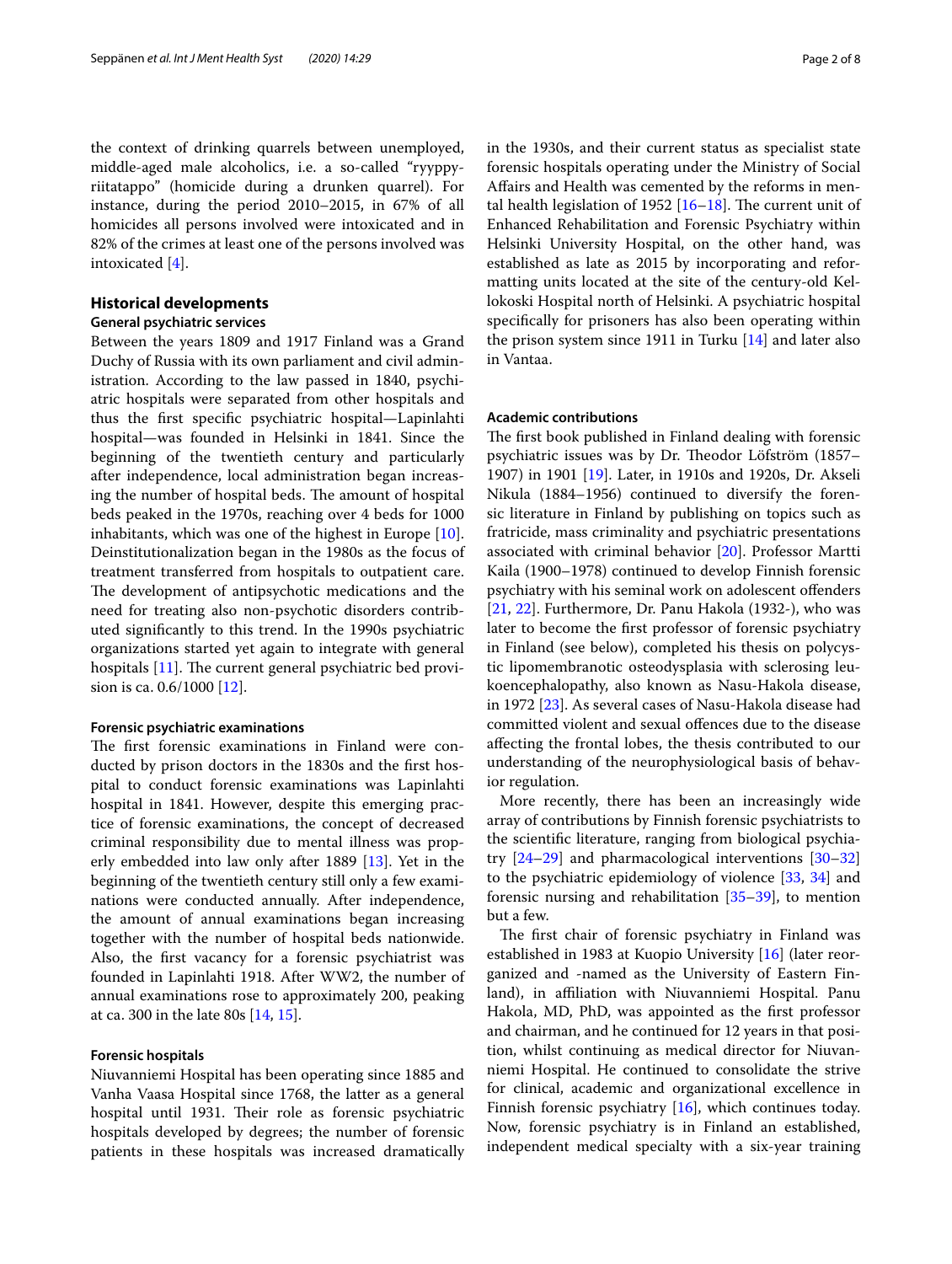the context of drinking quarrels between unemployed, middle-aged male alcoholics, i.e. a so-called "ryyppyriitatappo" (homicide during a drunken quarrel). For instance, during the period 2010–2015, in 67% of all homicides all persons involved were intoxicated and in 82% of the crimes at least one of the persons involved was intoxicated [[4\]](#page-6-3).

## **Historical developments**

## **General psychiatric services**

Between the years 1809 and 1917 Finland was a Grand Duchy of Russia with its own parliament and civil administration. According to the law passed in 1840, psychiatric hospitals were separated from other hospitals and thus the frst specifc psychiatric hospital—Lapinlahti hospital—was founded in Helsinki in 1841. Since the beginning of the twentieth century and particularly after independence, local administration began increasing the number of hospital beds. The amount of hospital beds peaked in the 1970s, reaching over 4 beds for 1000 inhabitants, which was one of the highest in Europe [\[10](#page-6-9)]. Deinstitutionalization began in the 1980s as the focus of treatment transferred from hospitals to outpatient care. The development of antipsychotic medications and the need for treating also non-psychotic disorders contributed signifcantly to this trend. In the 1990s psychiatric organizations started yet again to integrate with general hospitals  $[11]$ . The current general psychiatric bed provision is ca. 0.6/1000 [\[12](#page-6-11)].

## **Forensic psychiatric examinations**

The first forensic examinations in Finland were conducted by prison doctors in the 1830s and the frst hospital to conduct forensic examinations was Lapinlahti hospital in 1841. However, despite this emerging practice of forensic examinations, the concept of decreased criminal responsibility due to mental illness was properly embedded into law only after 1889 [\[13](#page-6-12)]. Yet in the beginning of the twentieth century still only a few examinations were conducted annually. After independence, the amount of annual examinations began increasing together with the number of hospital beds nationwide. Also, the frst vacancy for a forensic psychiatrist was founded in Lapinlahti 1918. After WW2, the number of annual examinations rose to approximately 200, peaking at ca. 300 in the late 80s [\[14](#page-6-13), [15](#page-6-14)].

## **Forensic hospitals**

Niuvanniemi Hospital has been operating since 1885 and Vanha Vaasa Hospital since 1768, the latter as a general hospital until 1931. Their role as forensic psychiatric hospitals developed by degrees; the number of forensic patients in these hospitals was increased dramatically in the 1930s, and their current status as specialist state forensic hospitals operating under the Ministry of Social Afairs and Health was cemented by the reforms in mental health legislation of 1952  $[16–18]$  $[16–18]$  $[16–18]$ . The current unit of Enhanced Rehabilitation and Forensic Psychiatry within Helsinki University Hospital, on the other hand, was established as late as 2015 by incorporating and reformatting units located at the site of the century-old Kellokoski Hospital north of Helsinki. A psychiatric hospital specifcally for prisoners has also been operating within the prison system since 1911 in Turku [[14\]](#page-6-13) and later also in Vantaa.

## **Academic contributions**

The first book published in Finland dealing with forensic psychiatric issues was by Dr. Theodor Löfström (1857– 1907) in 1901 [[19\]](#page-6-17). Later, in 1910s and 1920s, Dr. Akseli Nikula (1884–1956) continued to diversify the forensic literature in Finland by publishing on topics such as fratricide, mass criminality and psychiatric presentations associated with criminal behavior [[20](#page-6-18)]. Professor Martti Kaila (1900–1978) continued to develop Finnish forensic psychiatry with his seminal work on adolescent ofenders [[21,](#page-6-19) [22\]](#page-6-20). Furthermore, Dr. Panu Hakola (1932-), who was later to become the frst professor of forensic psychiatry in Finland (see below), completed his thesis on polycystic lipomembranotic osteodysplasia with sclerosing leukoencephalopathy, also known as Nasu-Hakola disease, in 1972 [\[23](#page-6-21)]. As several cases of Nasu-Hakola disease had committed violent and sexual ofences due to the disease afecting the frontal lobes, the thesis contributed to our understanding of the neurophysiological basis of behavior regulation.

More recently, there has been an increasingly wide array of contributions by Finnish forensic psychiatrists to the scientifc literature, ranging from biological psychiatry [[24–](#page-6-22)[29](#page-6-23)] and pharmacological interventions [[30–](#page-6-24)[32](#page-7-0)] to the psychiatric epidemiology of violence [\[33](#page-7-1), [34\]](#page-7-2) and forensic nursing and rehabilitation [\[35–](#page-7-3)[39\]](#page-7-4), to mention but a few.

The first chair of forensic psychiatry in Finland was established in 1983 at Kuopio University [[16\]](#page-6-15) (later reorganized and -named as the University of Eastern Finland), in affiliation with Niuvanniemi Hospital. Panu Hakola, MD, PhD, was appointed as the frst professor and chairman, and he continued for 12 years in that position, whilst continuing as medical director for Niuvanniemi Hospital. He continued to consolidate the strive for clinical, academic and organizational excellence in Finnish forensic psychiatry [[16\]](#page-6-15), which continues today. Now, forensic psychiatry is in Finland an established, independent medical specialty with a six-year training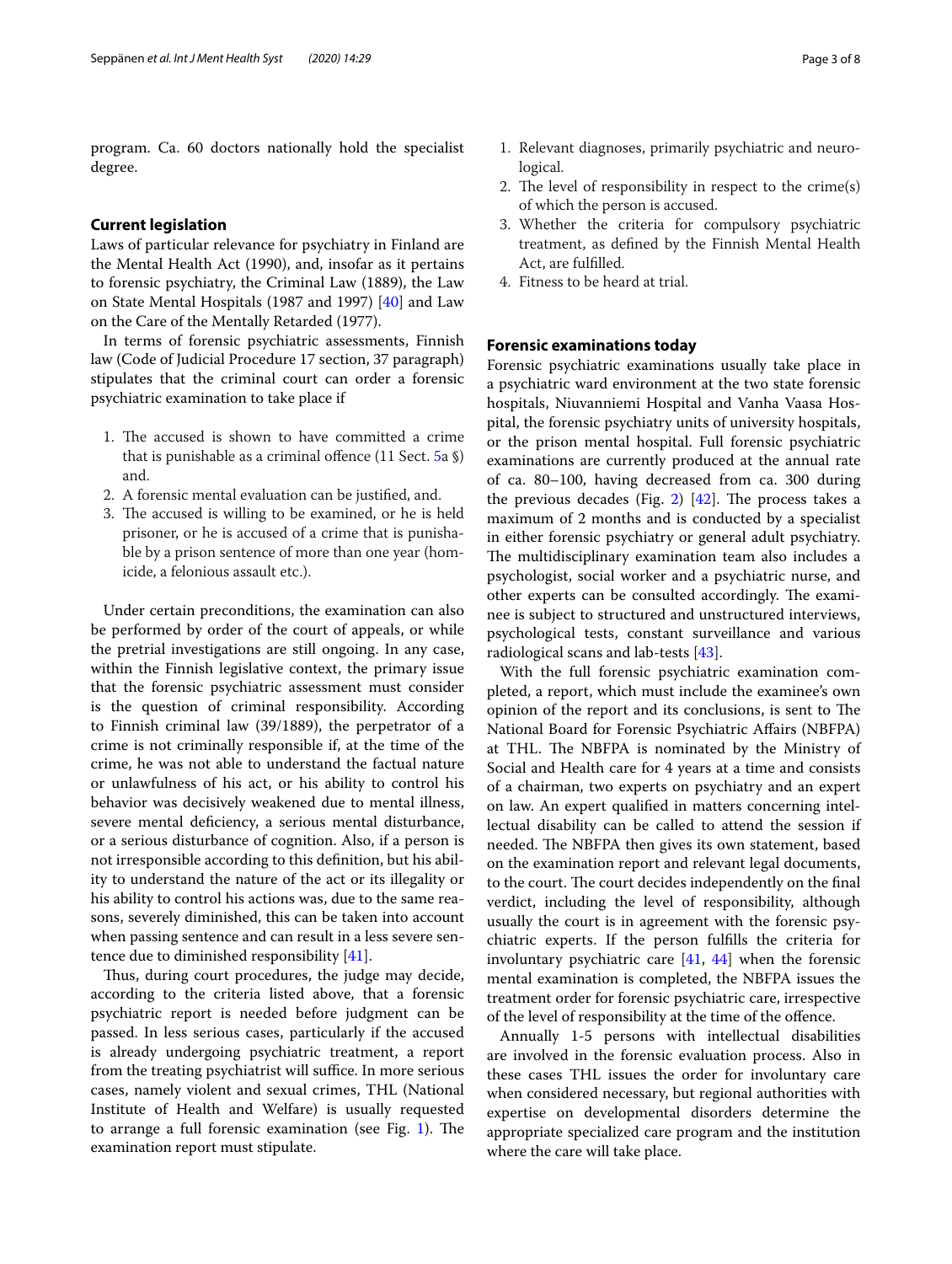program. Ca. 60 doctors nationally hold the specialist degree.

## **Current legislation**

Laws of particular relevance for psychiatry in Finland are the Mental Health Act (1990), and, insofar as it pertains to forensic psychiatry, the Criminal Law (1889), the Law on State Mental Hospitals (1987 and 1997) [[40](#page-7-5)] and Law on the Care of the Mentally Retarded (1977).

In terms of forensic psychiatric assessments, Finnish law (Code of Judicial Procedure 17 section, 37 paragraph) stipulates that the criminal court can order a forensic psychiatric examination to take place if

- 1. The accused is shown to have committed a crime that is punishable as a criminal ofence (11 Sect. [5](#page-3-0)a §) and.
- 2. A forensic mental evaluation can be justifed, and.
- 3. The accused is willing to be examined, or he is held prisoner, or he is accused of a crime that is punishable by a prison sentence of more than one year (homicide, a felonious assault etc.).

Under certain preconditions, the examination can also be performed by order of the court of appeals, or while the pretrial investigations are still ongoing. In any case, within the Finnish legislative context, the primary issue that the forensic psychiatric assessment must consider is the question of criminal responsibility. According to Finnish criminal law (39/1889), the perpetrator of a crime is not criminally responsible if, at the time of the crime, he was not able to understand the factual nature or unlawfulness of his act, or his ability to control his behavior was decisively weakened due to mental illness, severe mental defciency, a serious mental disturbance, or a serious disturbance of cognition. Also, if a person is not irresponsible according to this defnition, but his ability to understand the nature of the act or its illegality or his ability to control his actions was, due to the same reasons, severely diminished, this can be taken into account when passing sentence and can result in a less severe sentence due to diminished responsibility [[41\]](#page-7-6).

Thus, during court procedures, the judge may decide, according to the criteria listed above, that a forensic psychiatric report is needed before judgment can be passed. In less serious cases, particularly if the accused is already undergoing psychiatric treatment, a report from the treating psychiatrist will suffice. In more serious cases, namely violent and sexual crimes, THL (National Institute of Health and Welfare) is usually requested to arrange a full forensic examination (see Fig.  $1$ ). The examination report must stipulate.

- 1. Relevant diagnoses, primarily psychiatric and neurological.
- 2. The level of responsibility in respect to the crime(s) of which the person is accused.
- 3. Whether the criteria for compulsory psychiatric treatment, as defned by the Finnish Mental Health Act, are fulflled.
- 4. Fitness to be heard at trial.

## **Forensic examinations today**

Forensic psychiatric examinations usually take place in a psychiatric ward environment at the two state forensic hospitals, Niuvanniemi Hospital and Vanha Vaasa Hospital, the forensic psychiatry units of university hospitals, or the prison mental hospital. Full forensic psychiatric examinations are currently produced at the annual rate of ca. 80–100, having decreased from ca. 300 during the previous decades (Fig. [2\)](#page-4-0)  $[42]$  $[42]$ . The process takes a maximum of 2 months and is conducted by a specialist in either forensic psychiatry or general adult psychiatry. The multidisciplinary examination team also includes a psychologist, social worker and a psychiatric nurse, and other experts can be consulted accordingly. The examinee is subject to structured and unstructured interviews, psychological tests, constant surveillance and various radiological scans and lab-tests [\[43\]](#page-7-8).

With the full forensic psychiatric examination completed, a report, which must include the examinee's own opinion of the report and its conclusions, is sent to The National Board for Forensic Psychiatric Afairs (NBFPA) at THL. The NBFPA is nominated by the Ministry of Social and Health care for 4 years at a time and consists of a chairman, two experts on psychiatry and an expert on law. An expert qualifed in matters concerning intellectual disability can be called to attend the session if needed. The NBFPA then gives its own statement, based on the examination report and relevant legal documents, to the court. The court decides independently on the final verdict, including the level of responsibility, although usually the court is in agreement with the forensic psychiatric experts. If the person fulflls the criteria for involuntary psychiatric care [\[41](#page-7-6), [44](#page-7-9)] when the forensic mental examination is completed, the NBFPA issues the treatment order for forensic psychiatric care, irrespective of the level of responsibility at the time of the ofence.

Annually 1-5 persons with intellectual disabilities are involved in the forensic evaluation process. Also in these cases THL issues the order for involuntary care when considered necessary, but regional authorities with expertise on developmental disorders determine the appropriate specialized care program and the institution where the care will take place.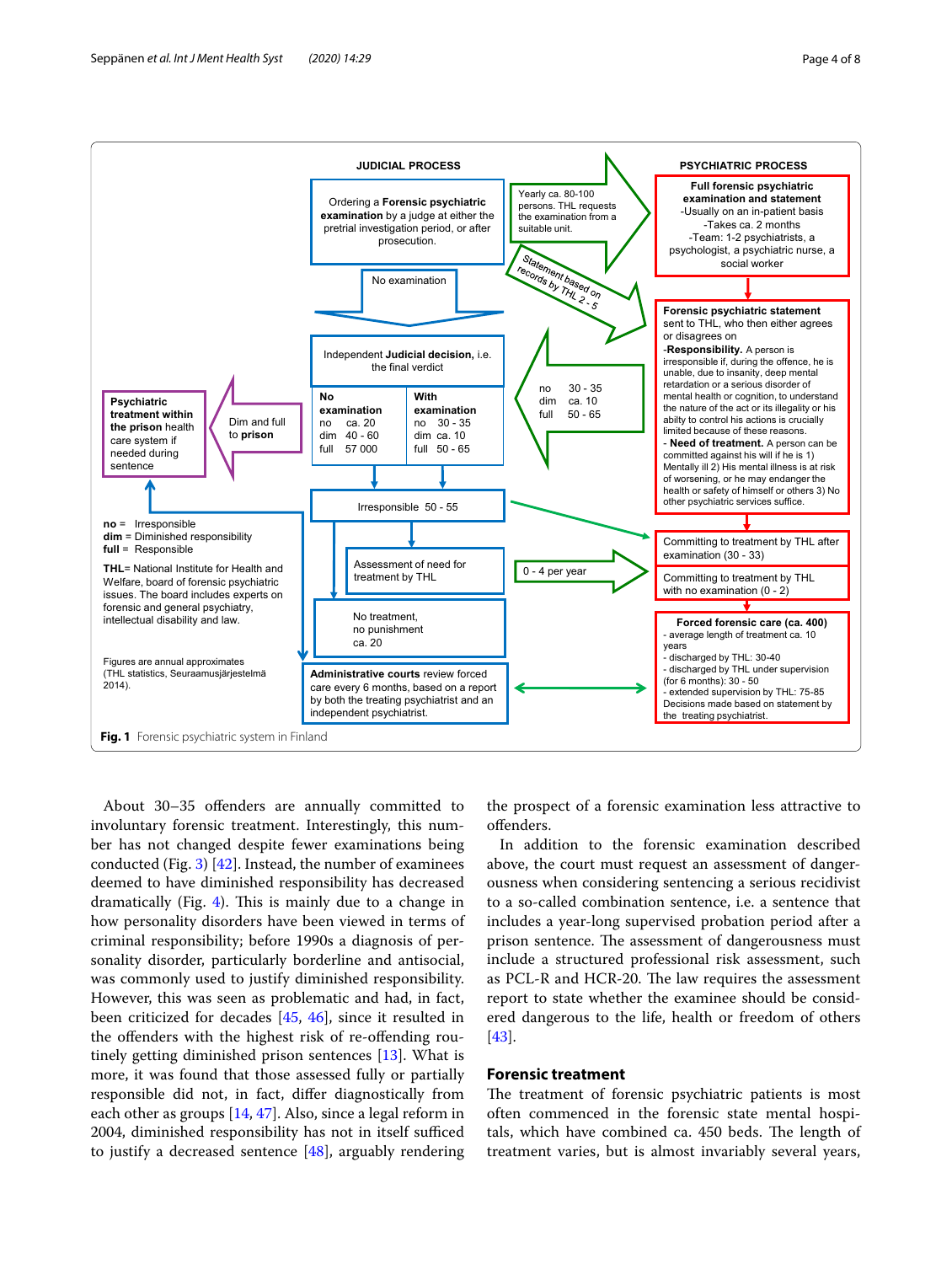

<span id="page-3-1"></span>About 30–35 ofenders are annually committed to involuntary forensic treatment. Interestingly, this number has not changed despite fewer examinations being conducted (Fig. [3](#page-4-1)) [[42\]](#page-7-7). Instead, the number of examinees deemed to have diminished responsibility has decreased dramatically (Fig.  $4$ ). This is mainly due to a change in how personality disorders have been viewed in terms of criminal responsibility; before 1990s a diagnosis of personality disorder, particularly borderline and antisocial, was commonly used to justify diminished responsibility. However, this was seen as problematic and had, in fact, been criticized for decades [\[45,](#page-7-10) [46\]](#page-7-11), since it resulted in the ofenders with the highest risk of re-ofending routinely getting diminished prison sentences [\[13](#page-6-12)]. What is more, it was found that those assessed fully or partially responsible did not, in fact, difer diagnostically from each other as groups [\[14](#page-6-13), [47](#page-7-12)]. Also, since a legal reform in 2004, diminished responsibility has not in itself sufficed to justify a decreased sentence [\[48\]](#page-7-13), arguably rendering the prospect of a forensic examination less attractive to ofenders.

In addition to the forensic examination described above, the court must request an assessment of dangerousness when considering sentencing a serious recidivist to a so-called combination sentence, i.e. a sentence that includes a year-long supervised probation period after a prison sentence. The assessment of dangerousness must include a structured professional risk assessment, such as PCL-R and HCR-20. The law requires the assessment report to state whether the examinee should be considered dangerous to the life, health or freedom of others [[43\]](#page-7-8).

## <span id="page-3-0"></span>**Forensic treatment**

The treatment of forensic psychiatric patients is most often commenced in the forensic state mental hospitals, which have combined ca. 450 beds. The length of treatment varies, but is almost invariably several years,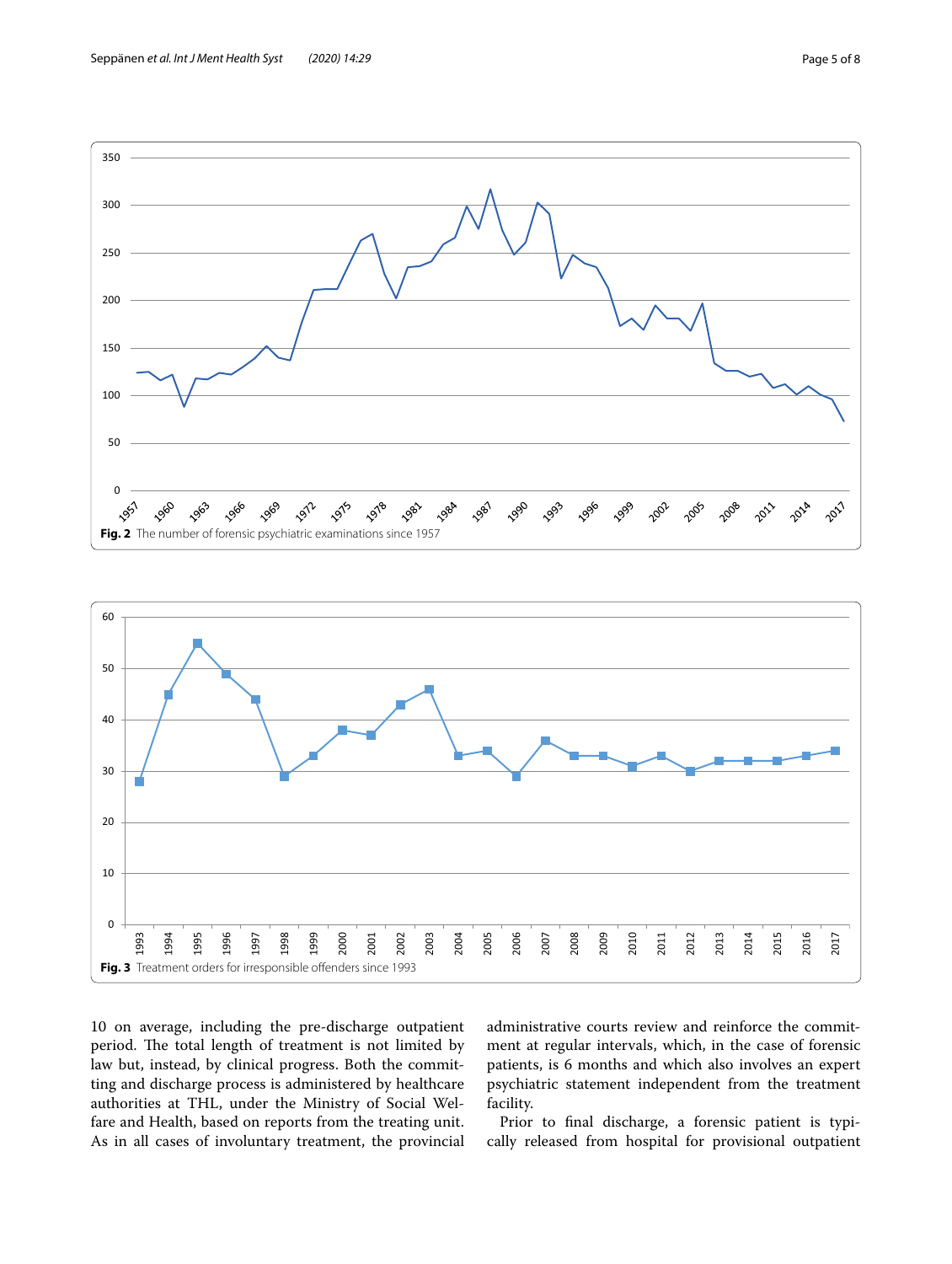administrative courts review and reinforce the commitment at regular intervals, which, in the case of forensic patients, is 6 months and which also involves an expert psychiatric statement independent from the treatment facility.

Prior to fnal discharge, a forensic patient is typically released from hospital for provisional outpatient

<span id="page-4-1"></span><span id="page-4-0"></span>

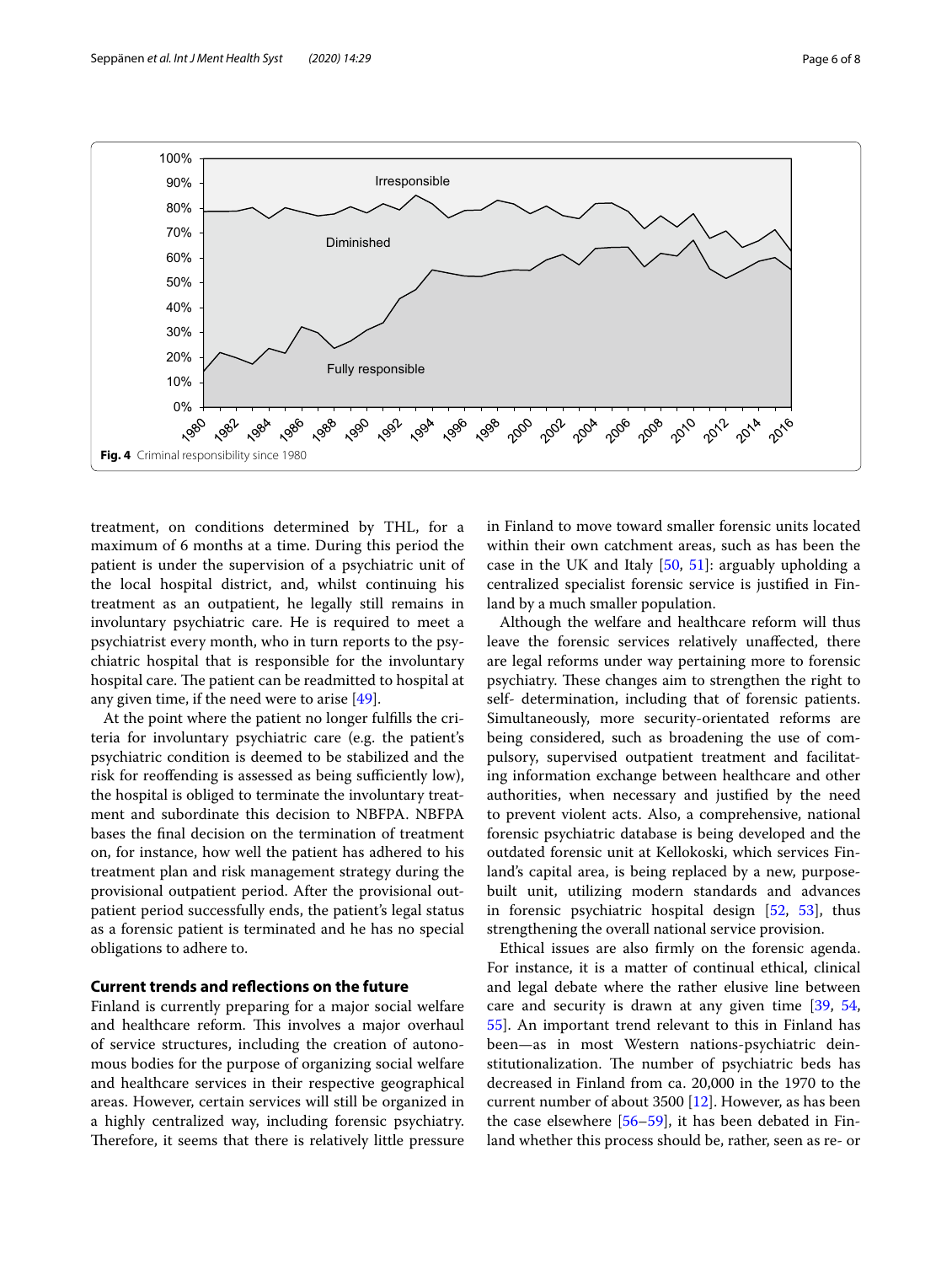

<span id="page-5-0"></span>treatment, on conditions determined by THL, for a maximum of 6 months at a time. During this period the patient is under the supervision of a psychiatric unit of the local hospital district, and, whilst continuing his treatment as an outpatient, he legally still remains in involuntary psychiatric care. He is required to meet a psychiatrist every month, who in turn reports to the psychiatric hospital that is responsible for the involuntary hospital care. The patient can be readmitted to hospital at any given time, if the need were to arise [\[49](#page-7-14)].

At the point where the patient no longer fulflls the criteria for involuntary psychiatric care (e.g. the patient's psychiatric condition is deemed to be stabilized and the risk for reoffending is assessed as being sufficiently low), the hospital is obliged to terminate the involuntary treatment and subordinate this decision to NBFPA. NBFPA bases the fnal decision on the termination of treatment on, for instance, how well the patient has adhered to his treatment plan and risk management strategy during the provisional outpatient period. After the provisional outpatient period successfully ends, the patient's legal status as a forensic patient is terminated and he has no special obligations to adhere to.

## **Current trends and refections on the future**

Finland is currently preparing for a major social welfare and healthcare reform. This involves a major overhaul of service structures, including the creation of autonomous bodies for the purpose of organizing social welfare and healthcare services in their respective geographical areas. However, certain services will still be organized in a highly centralized way, including forensic psychiatry. Therefore, it seems that there is relatively little pressure in Finland to move toward smaller forensic units located within their own catchment areas, such as has been the case in the UK and Italy  $[50, 51]$  $[50, 51]$  $[50, 51]$  $[50, 51]$ : arguably upholding a centralized specialist forensic service is justifed in Finland by a much smaller population.

Although the welfare and healthcare reform will thus leave the forensic services relatively unafected, there are legal reforms under way pertaining more to forensic psychiatry. These changes aim to strengthen the right to self- determination, including that of forensic patients. Simultaneously, more security-orientated reforms are being considered, such as broadening the use of compulsory, supervised outpatient treatment and facilitating information exchange between healthcare and other authorities, when necessary and justifed by the need to prevent violent acts. Also, a comprehensive, national forensic psychiatric database is being developed and the outdated forensic unit at Kellokoski, which services Finland's capital area, is being replaced by a new, purposebuilt unit, utilizing modern standards and advances in forensic psychiatric hospital design [[52,](#page-7-17) [53\]](#page-7-18), thus strengthening the overall national service provision.

Ethical issues are also frmly on the forensic agenda. For instance, it is a matter of continual ethical, clinical and legal debate where the rather elusive line between care and security is drawn at any given time [[39,](#page-7-4) [54](#page-7-19), [55\]](#page-7-20). An important trend relevant to this in Finland has been—as in most Western nations-psychiatric deinstitutionalization. The number of psychiatric beds has decreased in Finland from ca. 20,000 in the 1970 to the current number of about 3500 [[12](#page-6-11)]. However, as has been the case elsewhere [[56](#page-7-21)[–59](#page-7-22)], it has been debated in Finland whether this process should be, rather, seen as re- or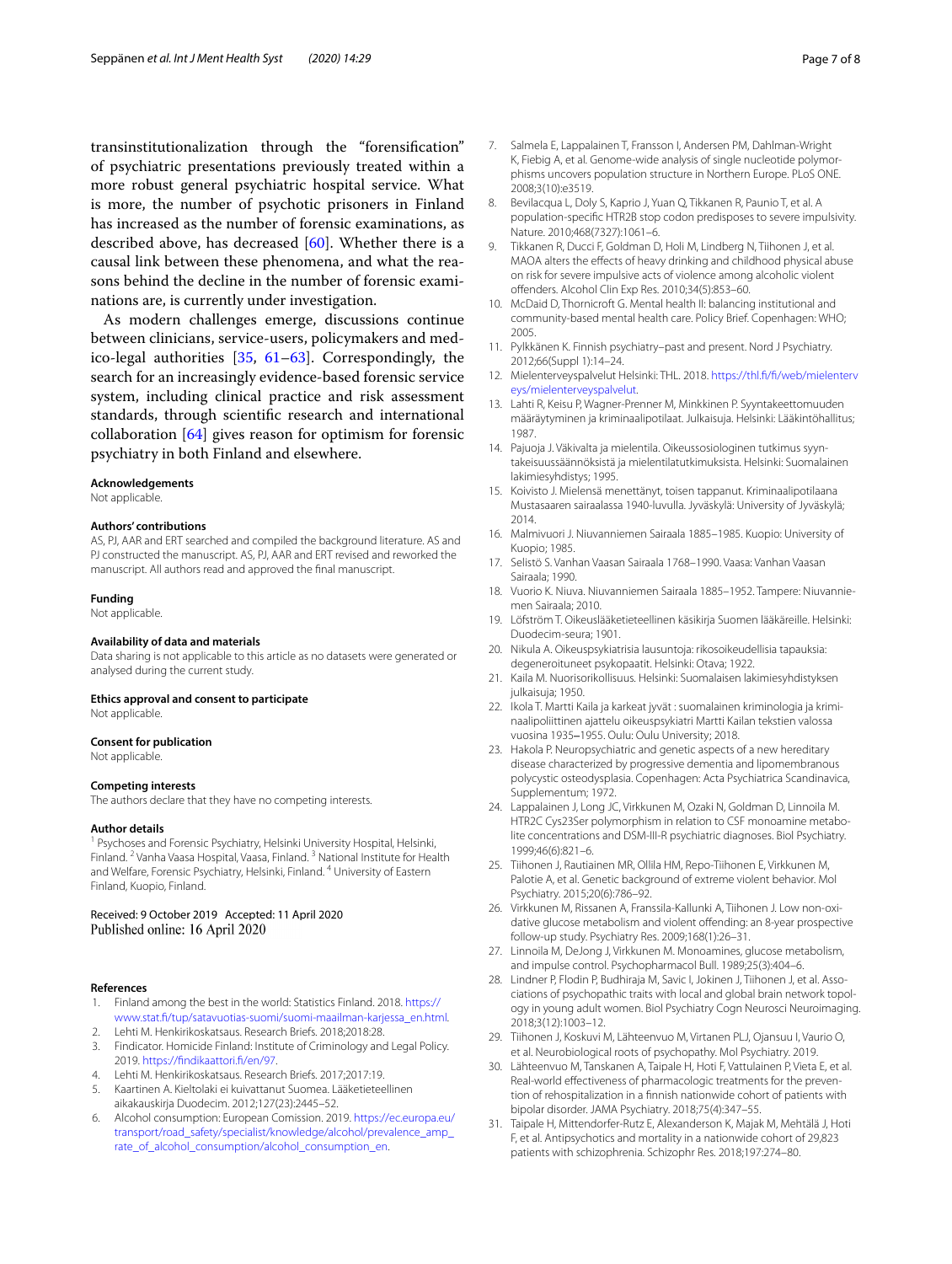transinstitutionalization through the "forensifcation" of psychiatric presentations previously treated within a more robust general psychiatric hospital service. What is more, the number of psychotic prisoners in Finland has increased as the number of forensic examinations, as described above, has decreased [\[60](#page-7-23)]. Whether there is a causal link between these phenomena, and what the reasons behind the decline in the number of forensic examinations are, is currently under investigation.

As modern challenges emerge, discussions continue between clinicians, service-users, policymakers and medico-legal authorities [[35](#page-7-3), [61–](#page-7-24)[63](#page-7-25)]. Correspondingly, the search for an increasingly evidence-based forensic service system, including clinical practice and risk assessment standards, through scientifc research and international collaboration [[64\]](#page-7-26) gives reason for optimism for forensic psychiatry in both Finland and elsewhere.

#### **Acknowledgements**

Not applicable.

#### **Authors' contributions**

AS, PJ, AAR and ERT searched and compiled the background literature. AS and PJ constructed the manuscript. AS, PJ, AAR and ERT revised and reworked the manuscript. All authors read and approved the fnal manuscript.

#### **Funding**

Not applicable.

## **Availability of data and materials**

Data sharing is not applicable to this article as no datasets were generated or analysed during the current study.

#### **Ethics approval and consent to participate**

Not applicable.

#### **Consent for publication**

Not applicable.

#### **Competing interests**

The authors declare that they have no competing interests.

#### **Author details**

<sup>1</sup> Psychoses and Forensic Psychiatry, Helsinki University Hospital, Helsinki, Finland. <sup>2</sup> Vanha Vaasa Hospital, Vaasa, Finland. 3 National Institute for Health and Welfare, Forensic Psychiatry, Helsinki, Finland. <sup>4</sup> University of Eastern Finland, Kuopio, Finland.

## Received: 9 October 2019 Accepted: 11 April 2020 Published online: 16 April 2020

#### **References**

- <span id="page-6-0"></span>1. Finland among the best in the world: Statistics Finland. 2018. [https://](https://www.stat.fi/tup/satavuotias-suomi/suomi-maailman-karjessa_en.html) [www.stat.f/tup/satavuotias-suomi/suomi-maailman-karjessa\\_en.html.](https://www.stat.fi/tup/satavuotias-suomi/suomi-maailman-karjessa_en.html)
- <span id="page-6-1"></span>2. Lehti M. Henkirikoskatsaus. Research Briefs. 2018;2018:28.
- <span id="page-6-2"></span>3. Findicator. Homicide Finland: Institute of Criminology and Legal Policy. 2019. [https://fndikaattori.f/en/97.](https://findikaattori.fi/en/97)
- <span id="page-6-3"></span>4. Lehti M. Henkirikoskatsaus. Research Briefs. 2017;2017:19.
- <span id="page-6-4"></span>5. Kaartinen A. Kieltolaki ei kuivattanut Suomea. Lääketieteellinen aikakauskirja Duodecim. 2012;127(23):2445–52.
- <span id="page-6-5"></span>6. Alcohol consumption: European Comission. 2019. [https://ec.europa.eu/](https://ec.europa.eu/transport/road_safety/specialist/knowledge/alcohol/prevalence_amp_rate_of_alcohol_consumption/alcohol_consumption_en) [transport/road\\_safety/specialist/knowledge/alcohol/prevalence\\_amp\\_](https://ec.europa.eu/transport/road_safety/specialist/knowledge/alcohol/prevalence_amp_rate_of_alcohol_consumption/alcohol_consumption_en) [rate\\_of\\_alcohol\\_consumption/alcohol\\_consumption\\_en.](https://ec.europa.eu/transport/road_safety/specialist/knowledge/alcohol/prevalence_amp_rate_of_alcohol_consumption/alcohol_consumption_en)
- <span id="page-6-6"></span>7. Salmela E, Lappalainen T, Fransson I, Andersen PM, Dahlman-Wright K, Fiebig A, et al. Genome-wide analysis of single nucleotide polymorphisms uncovers population structure in Northern Europe. PLoS ONE. 2008;3(10):e3519.
- <span id="page-6-7"></span>8. Bevilacqua L, Doly S, Kaprio J, Yuan O, Tikkanen R, Paunio T, et al. A population-specifc HTR2B stop codon predisposes to severe impulsivity. Nature. 2010;468(7327):1061–6.
- <span id="page-6-8"></span>9. Tikkanen R, Ducci F, Goldman D, Holi M, Lindberg N, Tiihonen J, et al. MAOA alters the efects of heavy drinking and childhood physical abuse on risk for severe impulsive acts of violence among alcoholic violent ofenders. Alcohol Clin Exp Res. 2010;34(5):853–60.
- <span id="page-6-9"></span>10. McDaid D, Thornicroft G. Mental health II: balancing institutional and community-based mental health care. Policy Brief. Copenhagen: WHO; 2005.
- <span id="page-6-10"></span>11. Pylkkänen K. Finnish psychiatry–past and present. Nord J Psychiatry. 2012;66(Suppl 1):14–24.
- <span id="page-6-11"></span>12. Mielenterveyspalvelut Helsinki: THL. 2018. [https://thl.f/f/web/mielenterv](https://thl.fi/fi/web/mielenterveys/mielenterveyspalvelut) [eys/mielenterveyspalvelut](https://thl.fi/fi/web/mielenterveys/mielenterveyspalvelut).
- <span id="page-6-12"></span>13. Lahti R, Keisu P, Wagner-Prenner M, Minkkinen P. Syyntakeettomuuden määräytyminen ja kriminaalipotilaat. Julkaisuja. Helsinki: Lääkintöhallitus; 1987.
- <span id="page-6-13"></span>14. Pajuoja J. Väkivalta ja mielentila. Oikeussosiologinen tutkimus syyntakeisuussäännöksistä ja mielentilatutkimuksista. Helsinki: Suomalainen lakimiesyhdistys; 1995.
- <span id="page-6-14"></span>15. Koivisto J. Mielensä menettänyt, toisen tappanut. Kriminaalipotilaana Mustasaaren sairaalassa 1940-luvulla. Jyväskylä: University of Jyväskylä; 2014.
- <span id="page-6-15"></span>16. Malmivuori J. Niuvanniemen Sairaala 1885–1985. Kuopio: University of Kuopio; 1985.
- 17. Selistö S. Vanhan Vaasan Sairaala 1768–1990. Vaasa: Vanhan Vaasan Sairaala; 1990.
- <span id="page-6-16"></span>18. Vuorio K. Niuva. Niuvanniemen Sairaala 1885–1952. Tampere: Niuvannie‑ men Sairaala; 2010.
- <span id="page-6-17"></span>19. Löfström T. Oikeuslääketieteellinen käsikirja Suomen lääkäreille. Helsinki: Duodecim-seura; 1901.
- <span id="page-6-18"></span>20. Nikula A. Oikeuspsykiatrisia lausuntoja: rikosoikeudellisia tapauksia: degeneroituneet psykopaatit. Helsinki: Otava; 1922.
- <span id="page-6-19"></span>21. Kaila M. Nuorisorikollisuus. Helsinki: Suomalaisen lakimiesyhdistyksen julkaisuja; 1950.
- <span id="page-6-20"></span>22. Ikola T. Martti Kaila ja karkeat jyvät : suomalainen kriminologia ja kriminaalipoliittinen ajattelu oikeuspsykiatri Martti Kailan tekstien valossa vuosina 1935–1955. Oulu: Oulu University; 2018.
- <span id="page-6-21"></span>23. Hakola P. Neuropsychiatric and genetic aspects of a new hereditary disease characterized by progressive dementia and lipomembranous polycystic osteodysplasia. Copenhagen: Acta Psychiatrica Scandinavica, Supplementum; 1972.
- <span id="page-6-22"></span>24. Lappalainen J, Long JC, Virkkunen M, Ozaki N, Goldman D, Linnoila M. HTR2C Cys23Ser polymorphism in relation to CSF monoamine metabolite concentrations and DSM-III-R psychiatric diagnoses. Biol Psychiatry. 1999;46(6):821–6.
- 25. Tiihonen J, Rautiainen MR, Ollila HM, Repo-Tiihonen E, Virkkunen M, Palotie A, et al. Genetic background of extreme violent behavior. Mol Psychiatry. 2015;20(6):786–92.
- 26. Virkkunen M, Rissanen A, Franssila-Kallunki A, Tiihonen J. Low non-oxidative glucose metabolism and violent offending: an 8-year prospective follow-up study. Psychiatry Res. 2009;168(1):26–31.
- 27. Linnoila M, DeJong J, Virkkunen M. Monoamines, glucose metabolism, and impulse control. Psychopharmacol Bull. 1989;25(3):404–6.
- 28. Lindner P, Flodin P, Budhiraja M, Savic I, Jokinen J, Tiihonen J, et al. Associations of psychopathic traits with local and global brain network topology in young adult women. Biol Psychiatry Cogn Neurosci Neuroimaging. 2018;3(12):1003–12.
- <span id="page-6-23"></span>29. Tiihonen J, Koskuvi M, Lähteenvuo M, Virtanen PLJ, Ojansuu I, Vaurio O, et al. Neurobiological roots of psychopathy. Mol Psychiatry. 2019.
- <span id="page-6-24"></span>30. Lähteenvuo M, Tanskanen A, Taipale H, Hoti F, Vattulainen P, Vieta E, et al. Real-world effectiveness of pharmacologic treatments for the prevention of rehospitalization in a fnnish nationwide cohort of patients with bipolar disorder. JAMA Psychiatry. 2018;75(4):347–55.
- 31. Taipale H, Mittendorfer-Rutz E, Alexanderson K, Majak M, Mehtälä J, Hoti F, et al. Antipsychotics and mortality in a nationwide cohort of 29,823 patients with schizophrenia. Schizophr Res. 2018;197:274–80.